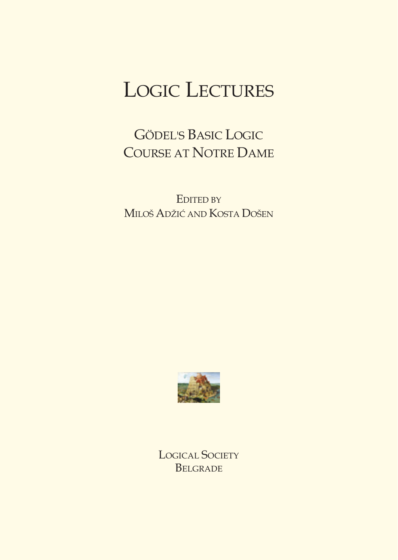# LOGIC LECTURES

GÖDEL'S BASIC LOGIC **COURSE AT NOTRE DAME** 

EDITED BY MILOŠ ADŽIĆ AND KOSTA DOŠEN



LOGICAL SOCIETY **BELGRADE**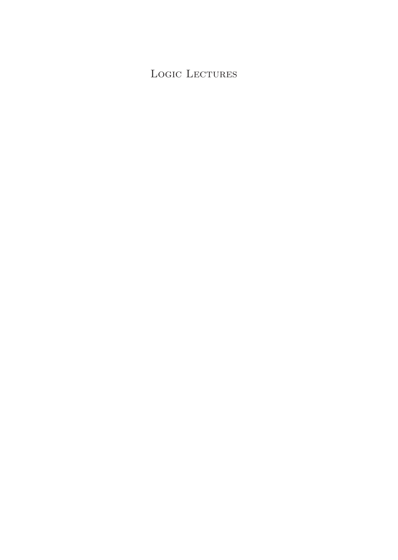#### Logic Lectures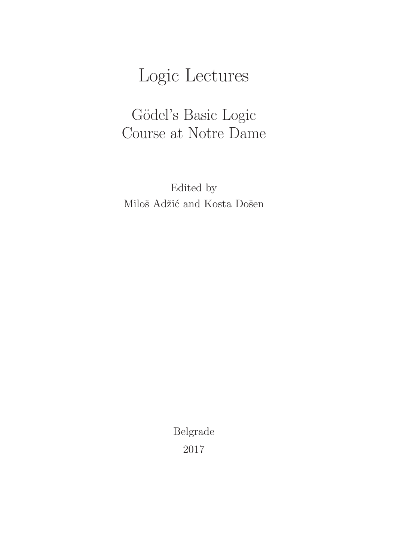# Logic Lectures

### Gödel's Basic Logic Course at Notre Dame

Edited by Miloš Adžić and Kosta Došen

> Belgrade 2017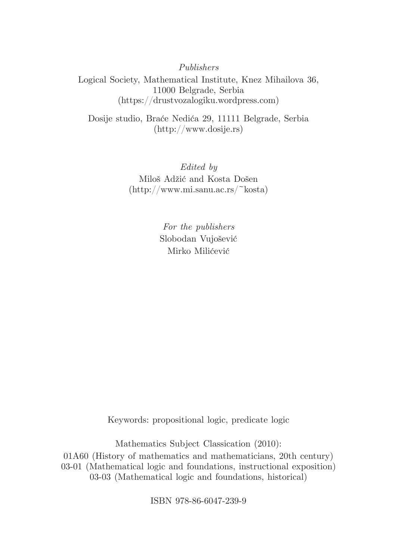*Publishers*

Logical Society, Mathematical Institute, Knez Mihailova 36, 11000 Belgrade, Serbia (https://drustvozalogiku.wordpress.com)

Dosije studio, Braće Nedića 29, 11111 Belgrade, Serbia (http://www.dosije.rs)

> *Edited by* Miloš Adžić and Kosta Došen (http://www.mi.sanu.ac.rs/~kosta)

> > *For the publishers* Slobodan Vujošević Mirko Milićević

Keywords: propositional logic, predicate logic

Mathematics Subject Classication (2010): 01A60 (History of mathematics and mathematicians, 20th century) 03-01 (Mathematical logic and foundations, instructional exposition) 03-03 (Mathematical logic and foundations, historical)

ISBN 978-86-6047-239-9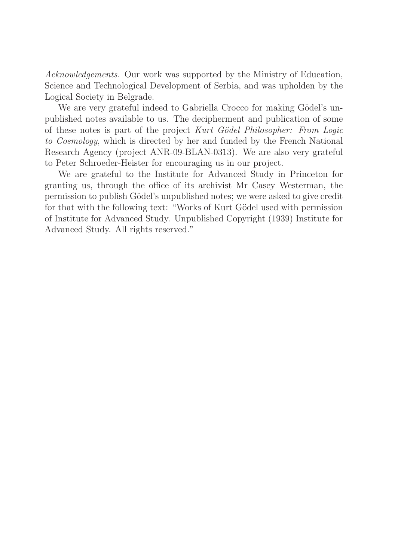Acknowledgements. Our work was supported by the Ministry of Education, Science and Technological Development of Serbia, and was upholden by the Logical Society in Belgrade.

We are very grateful indeed to Gabriella Crocco for making Gödel's unpublished notes available to us. The decipherment and publication of some of these notes is part of the project Kurt Gödel Philosopher: From Logic to Cosmology, which is directed by her and funded by the French National Research Agency (project ANR-09-BLAN-0313). We are also very grateful to Peter Schroeder-Heister for encouraging us in our project.

We are grateful to the Institute for Advanced Study in Princeton for granting us, through the office of its archivist Mr Casey Westerman, the permission to publish Gödel's unpublished notes; we were asked to give credit for that with the following text: "Works of Kurt Gödel used with permission of Institute for Advanced Study. Unpublished Copyright (1939) Institute for Advanced Study. All rights reserved."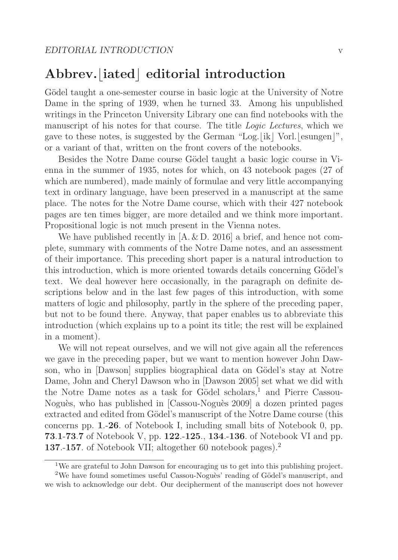### $\begin{bmatrix} \text{Abbrev.} \end{bmatrix}$  **editorial introduction**

Gödel taught a one-semester course in basic logic at the University of Notre Dame in the spring of 1939, when he turned 33. Among his unpublished writings in the Princeton University Library one can find notebooks with the manuscript of his notes for that course. The title *Logic Lectures*, which we gave to these notes, is suggested by the German "Log. $\lfloor i \kappa \rfloor$  Vorl. $\lfloor \mathrm{esungen} \rfloor$ ", or a variant of that, written on the front covers of the notebooks.

Besides the Notre Dame course Gödel taught a basic logic course in Vienna in the summer of 1935, notes for which, on 43 notebook pages (27 of which are numbered), made mainly of formulae and very little accompanying text in ordinary language, have been preserved in a manuscript at the same place. The notes for the Notre Dame course, which with their 427 notebook pages are ten times bigger, are more detailed and we think more important. Propositional logic is not much present in the Vienna notes.

We have published recently in  $[A, \& D, 2016]$  a brief, and hence not complete, summary with comments of the Notre Dame notes, and an assessment of their importance. This preceding short paper is a natural introduction to this introduction, which is more oriented towards details concerning Gödel's text. We deal however here occasionally, in the paragraph on definite descriptions below and in the last few pages of this introduction, with some matters of logic and philosophy, partly in the sphere of the preceding paper, but not to be found there. Anyway, that paper enables us to abbreviate this introduction (which explains up to a point its title; the rest will be explained in a moment).

We will not repeat ourselves, and we will not give again all the references we gave in the preceding paper, but we want to mention however John Dawson, who in [Dawson] supplies biographical data on Gödel's stay at Notre Dame, John and Cheryl Dawson who in [Dawson 2005] set what we did with the Notre Dame notes as a task for Gödel scholars,<sup>1</sup> and Pierre Cassou-Noguès, who has published in [Cassou-Noguès 2009] a dozen printed pages extracted and edited from Gödel's manuscript of the Notre Dame course (this concerns pp. **1**.-**26**. of Notebook I, including small bits of Notebook 0, pp. **73**.**1**-**73**.**7** of Notebook V, pp. **122**.-**125**., **134**.-**136**. of Notebook VI and pp. **137**.-**157**. of Notebook VII; altogether 60 notebook pages).<sup>2</sup>

<sup>1</sup>We are grateful to John Dawson for encouraging us to get into this publishing project.

<sup>&</sup>lt;sup>2</sup>We have found sometimes useful Cassou-Noguès' reading of Gödel's manuscript, and we wish to acknowledge our debt. Our decipherment of the manuscript does not however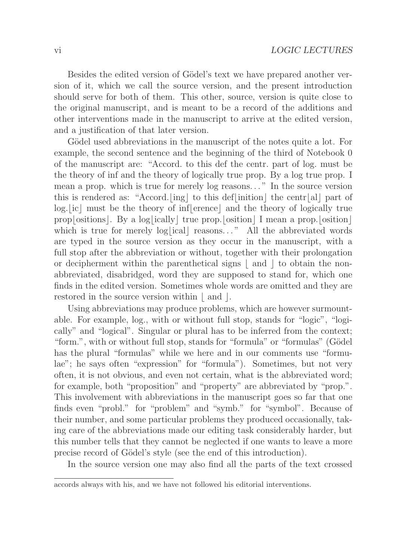Besides the edited version of Gödel's text we have prepared another version of it, which we call the source version, and the present introduction should serve for both of them. This other, source, version is quite close to the original manuscript, and is meant to be a record of the additions and other interventions made in the manuscript to arrive at the edited version, and a justification of that later version.

Gödel used abbreviations in the manuscript of the notes quite a lot. For example, the second sentence and the beginning of the third of Notebook 0 of the manuscript are: "Accord. to this def the centr. part of log. must be the theory of inf and the theory of logically true prop. By a log true prop. I mean a prop. which is true for merely log reasons. . . " In the source version this is rendered as: "Accord.[ing] to this def[inition] the centr[al] part of log. [ic] must be the theory of inf-<br>lerence] and the theory of logically true prop[ositions]. By a log[ically] true prop.[osition] I mean a prop.[osition] which is true for merely  $log[ical]$  reasons..." All the abbreviated words are typed in the source version as they occur in the manuscript, with a full stop after the abbreviation or without, together with their prolongation or decipherment within the parenthetical signs  $\lfloor$  and  $\rfloor$  to obtain the nonabbreviated, disabridged, word they are supposed to stand for, which one finds in the edited version. Sometimes whole words are omitted and they are restored in the source version within  $\lfloor$  and  $\rfloor$ .

Using abbreviations may produce problems, which are however surmountable. For example, log., with or without full stop, stands for "logic", "logically" and "logical". Singular or plural has to be inferred from the context; "form.", with or without full stop, stands for "formula" or "formulas" (Gödel has the plural "formulas" while we here and in our comments use "formulae"; he says often "expression" for "formula"). Sometimes, but not very often, it is not obvious, and even not certain, what is the abbreviated word; for example, both "proposition" and "property" are abbreviated by "prop.". This involvement with abbreviations in the manuscript goes so far that one finds even "probl." for "problem" and "symb." for "symbol". Because of their number, and some particular problems they produced occasionally, taking care of the abbreviations made our editing task considerably harder, but this number tells that they cannot be neglected if one wants to leave a more precise record of Gödel's style (see the end of this introduction).

In the source version one may also find all the parts of the text crossed

accords always with his, and we have not followed his editorial interventions.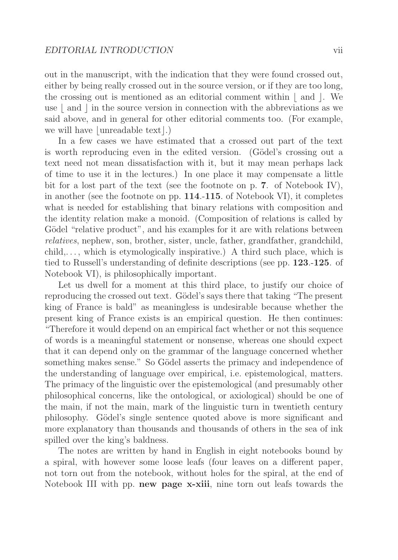out in the manuscript, with the indication that they were found crossed out, either by being really crossed out in the source version, or if they are too long, the crossing out is mentioned as an editorial comment within  $\lfloor$  and  $\rfloor$ . We use  $\lfloor$  and  $\rfloor$  in the source version in connection with the abbreviations as we said above, and in general for other editorial comments too. (For example, we will have  $\lfloor$ unreadable text $\rfloor$ .)

In a few cases we have estimated that a crossed out part of the text is worth reproducing even in the edited version. (Gödel's crossing out a text need not mean dissatisfaction with it, but it may mean perhaps lack of time to use it in the lectures.) In one place it may compensate a little bit for a lost part of the text (see the footnote on p. **7**. of Notebook IV), in another (see the footnote on pp. **114**.-**115**. of Notebook VI), it completes what is needed for establishing that binary relations with composition and the identity relation make a monoid. (Composition of relations is called by Gödel "relative product", and his examples for it are with relations between relatives, nephew, son, brother, sister, uncle, father, grandfather, grandchild,  $child, \ldots$ , which is etymologically inspirative.) A third such place, which is tied to Russell's understanding of definite descriptions (see pp. **123**.-**125**. of Notebook VI), is philosophically important.

Let us dwell for a moment at this third place, to justify our choice of reproducing the crossed out text. Gödel's says there that taking "The present king of France is bald" as meaningless is undesirable because whether the present king of France exists is an empirical question. He then continues: "Therefore it would depend on an empirical fact whether or not this sequence of words is a meaningful statement or nonsense, whereas one should expect that it can depend only on the grammar of the language concerned whether something makes sense." So Gödel asserts the primacy and independence of the understanding of language over empirical, i.e. epistemological, matters. The primacy of the linguistic over the epistemological (and presumably other philosophical concerns, like the ontological, or axiological) should be one of the main, if not the main, mark of the linguistic turn in twentieth century philosophy. G¨odel's single sentence quoted above is more significant and more explanatory than thousands and thousands of others in the sea of ink spilled over the king's baldness.

The notes are written by hand in English in eight notebooks bound by a spiral, with however some loose leafs (four leaves on a different paper, not torn out from the notebook, without holes for the spiral, at the end of Notebook III with pp. **new page x-xiii**, nine torn out leafs towards the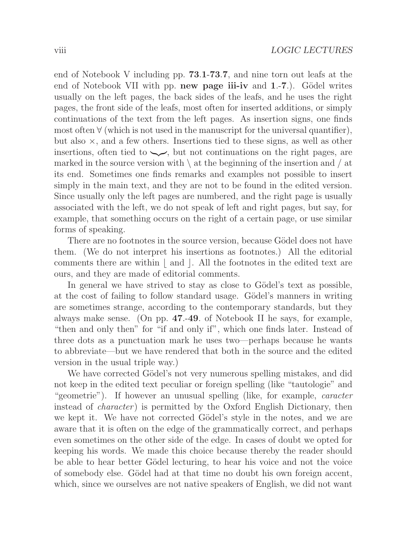end of Notebook V including pp. **73**.**1**-**73**.**7**, and nine torn out leafs at the end of Notebook VII with pp. **new page iii-iv** and **1.-7**.). Gödel writes usually on the left pages, the back sides of the leafs, and he uses the right pages, the front side of the leafs, most often for inserted additions, or simply continuations of the text from the left pages. As insertion signs, one finds most often  $\forall$  (which is not used in the manuscript for the universal quantifier), but also  $\times$ , and a few others. Insertions tied to these signs, as well as other insertions, often tied to  $\sim$ , but not continuations on the right pages, are marked in the source version with  $\setminus$  at the beginning of the insertion and / at its end. Sometimes one finds remarks and examples not possible to insert simply in the main text, and they are not to be found in the edited version. Since usually only the left pages are numbered, and the right page is usually associated with the left, we do not speak of left and right pages, but say, for example, that something occurs on the right of a certain page, or use similar forms of speaking.

There are no footnotes in the source version, because Gödel does not have them. (We do not interpret his insertions as footnotes.) All the editorial comments there are within  $\lfloor$  and  $\rfloor$ . All the footnotes in the edited text are ours, and they are made of editorial comments.

In general we have strived to stay as close to Gödel's text as possible, at the cost of failing to follow standard usage. Gödel's manners in writing are sometimes strange, according to the contemporary standards, but they always make sense. (On pp. **47**.-**49**. of Notebook II he says, for example, "then and only then" for "if and only if", which one finds later. Instead of three dots as a punctuation mark he uses two—perhaps because he wants to abbreviate—but we have rendered that both in the source and the edited version in the usual triple way.)

We have corrected Gödel's not very numerous spelling mistakes, and did not keep in the edited text peculiar or foreign spelling (like "tautologie" and "geometrie"). If however an unusual spelling (like, for example, *caracter* instead of *character*) is permitted by the Oxford English Dictionary, then we kept it. We have not corrected Gödel's style in the notes, and we are aware that it is often on the edge of the grammatically correct, and perhaps even sometimes on the other side of the edge. In cases of doubt we opted for keeping his words. We made this choice because thereby the reader should be able to hear better Gödel lecturing, to hear his voice and not the voice of somebody else. Gödel had at that time no doubt his own foreign accent, which, since we ourselves are not native speakers of English, we did not want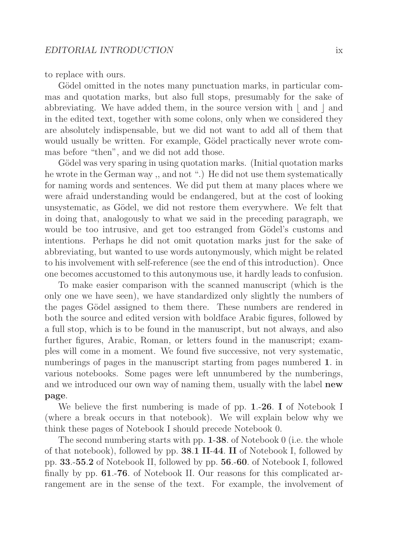to replace with ours.

Gödel omitted in the notes many punctuation marks, in particular commas and quotation marks, but also full stops, presumably for the sake of abbreviating. We have added them, in the source version with  $\lfloor$  and  $\rfloor$  and in the edited text, together with some colons, only when we considered they are absolutely indispensable, but we did not want to add all of them that would usually be written. For example, Gödel practically never wrote commas before "then", and we did not add those.

Gödel was very sparing in using quotation marks. (Initial quotation marks) he wrote in the German way ,, and not ".) He did not use them systematically for naming words and sentences. We did put them at many places where we were afraid understanding would be endangered, but at the cost of looking unsystematic, as Gödel, we did not restore them everywhere. We felt that in doing that, analogously to what we said in the preceding paragraph, we would be too intrusive, and get too estranged from Gödel's customs and intentions. Perhaps he did not omit quotation marks just for the sake of abbreviating, but wanted to use words autonymously, which might be related to his involvement with self-reference (see the end of this introduction). Once one becomes accustomed to this autonymous use, it hardly leads to confusion.

To make easier comparison with the scanned manuscript (which is the only one we have seen), we have standardized only slightly the numbers of the pages Gödel assigned to them there. These numbers are rendered in both the source and edited version with boldface Arabic figures, followed by a full stop, which is to be found in the manuscript, but not always, and also further figures, Arabic, Roman, or letters found in the manuscript; examples will come in a moment. We found five successive, not very systematic, numberings of pages in the manuscript starting from pages numbered **1**. in various notebooks. Some pages were left unnumbered by the numberings, and we introduced our own way of naming them, usually with the label **new page**.

We believe the first numbering is made of pp. **1**.-**26**. **I** of Notebook I (where a break occurs in that notebook). We will explain below why we think these pages of Notebook I should precede Notebook 0.

The second numbering starts with pp. **1**-**38**. of Notebook 0 (i.e. the whole of that notebook), followed by pp. **38**.**1 II**-**44**. **II** of Notebook I, followed by pp. **33**.-**55**.**2** of Notebook II, followed by pp. **56**.-**60**. of Notebook I, followed finally by pp. **61**.-**76**. of Notebook II. Our reasons for this complicated arrangement are in the sense of the text. For example, the involvement of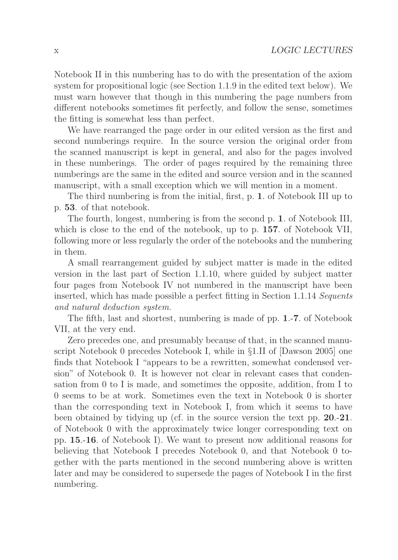Notebook II in this numbering has to do with the presentation of the axiom system for propositional logic (see Section 1.1.9 in the edited text below). We must warn however that though in this numbering the page numbers from different notebooks sometimes fit perfectly, and follow the sense, sometimes the fitting is somewhat less than perfect.

We have rearranged the page order in our edited version as the first and second numberings require. In the source version the original order from the scanned manuscript is kept in general, and also for the pages involved in these numberings. The order of pages required by the remaining three numberings are the same in the edited and source version and in the scanned manuscript, with a small exception which we will mention in a moment.

The third numbering is from the initial, first, p. **1**. of Notebook III up to p. **53**. of that notebook.

The fourth, longest, numbering is from the second p. **1**. of Notebook III, which is close to the end of the notebook, up to p. **157**. of Notebook VII, following more or less regularly the order of the notebooks and the numbering in them.

A small rearrangement guided by subject matter is made in the edited version in the last part of Section 1.1.10, where guided by subject matter four pages from Notebook IV not numbered in the manuscript have been inserted, which has made possible a perfect fitting in Section 1.1.14 Sequents and natural deduction system.

The fifth, last and shortest, numbering is made of pp. **1**.-**7**. of Notebook VII, at the very end.

Zero precedes one, and presumably because of that, in the scanned manuscript Notebook 0 precedes Notebook I, while in §1.II of [Dawson 2005] one finds that Notebook I "appears to be a rewritten, somewhat condensed version" of Notebook 0. It is however not clear in relevant cases that condensation from 0 to I is made, and sometimes the opposite, addition, from I to 0 seems to be at work. Sometimes even the text in Notebook 0 is shorter than the corresponding text in Notebook I, from which it seems to have been obtained by tidying up (cf. in the source version the text pp. **20**.-**21**. of Notebook 0 with the approximately twice longer corresponding text on pp. **15**.-**16**. of Notebook I). We want to present now additional reasons for believing that Notebook I precedes Notebook 0, and that Notebook 0 together with the parts mentioned in the second numbering above is written later and may be considered to supersede the pages of Notebook I in the first numbering.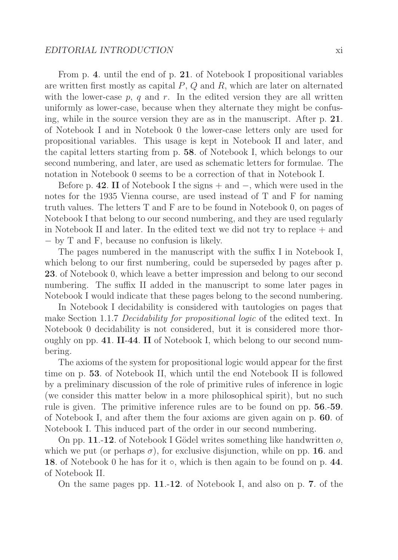From p. **4**. until the end of p. **21**. of Notebook I propositional variables are written first mostly as capital  $P$ ,  $Q$  and  $R$ , which are later on alternated with the lower-case  $p, q$  and  $r$ . In the edited version they are all written uniformly as lower-case, because when they alternate they might be confusing, while in the source version they are as in the manuscript. After p. **21**. of Notebook I and in Notebook 0 the lower-case letters only are used for propositional variables. This usage is kept in Notebook II and later, and the capital letters starting from p. **58**. of Notebook I, which belongs to our second numbering, and later, are used as schematic letters for formulae. The notation in Notebook 0 seems to be a correction of that in Notebook I.

Before p. **42**. **II** of Notebook I the signs + and −, which were used in the notes for the 1935 Vienna course, are used instead of T and F for naming truth values. The letters T and F are to be found in Notebook 0, on pages of Notebook I that belong to our second numbering, and they are used regularly in Notebook II and later. In the edited text we did not try to replace + and − by T and F, because no confusion is likely.

The pages numbered in the manuscript with the suffix I in Notebook I, which belong to our first numbering, could be superseded by pages after p. **23**. of Notebook 0, which leave a better impression and belong to our second numbering. The suffix II added in the manuscript to some later pages in Notebook I would indicate that these pages belong to the second numbering.

In Notebook I decidability is considered with tautologies on pages that make Section 1.1.7 Decidability for propositional logic of the edited text. In Notebook 0 decidability is not considered, but it is considered more thoroughly on pp. **41**. **II**-**44**. **II** of Notebook I, which belong to our second numbering.

The axioms of the system for propositional logic would appear for the first time on p. **53**. of Notebook II, which until the end Notebook II is followed by a preliminary discussion of the role of primitive rules of inference in logic (we consider this matter below in a more philosophical spirit), but no such rule is given. The primitive inference rules are to be found on pp. **56**.-**59**. of Notebook I, and after them the four axioms are given again on p. **60**. of Notebook I. This induced part of the order in our second numbering.

On pp. **11.-12**. of Notebook I Gödel writes something like handwritten  $o$ , which we put (or perhaps  $\sigma$ ), for exclusive disjunction, while on pp. **16**. and **18**. of Notebook 0 he has for it ◦, which is then again to be found on p. **44**. of Notebook II.

On the same pages pp. **11**.-**12**. of Notebook I, and also on p. **7**. of the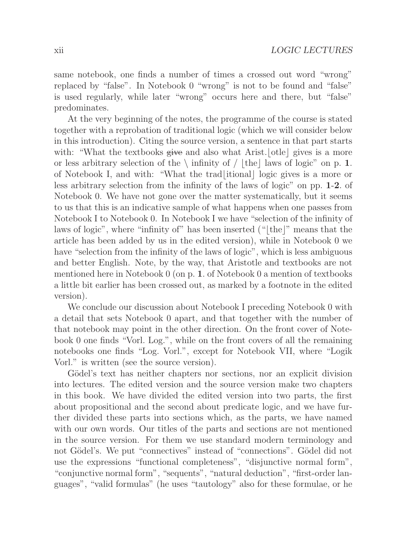same notebook, one finds a number of times a crossed out word "wrong" replaced by "false". In Notebook 0 "wrong" is not to be found and "false" is used regularly, while later "wrong" occurs here and there, but "false" predominates.

At the very beginning of the notes, the programme of the course is stated together with a reprobation of traditional logic (which we will consider below in this introduction). Citing the source version, a sentence in that part starts with: "What the textbooks give and also what Arist. [otle] gives is a more or less arbitrary selection of the  $\langle$  infinity of  $/$  [the] laws of logic" on p. **1**. of Notebook I, and with: "What the trad<sup>[itional]</sup> logic gives is a more or less arbitrary selection from the infinity of the laws of logic" on pp. **1**-**2**. of Notebook 0. We have not gone over the matter systematically, but it seems to us that this is an indicative sample of what happens when one passes from Notebook I to Notebook 0. In Notebook I we have "selection of the infinity of laws of logic", where "infinity of" has been inserted  $("[the]$ " means that the article has been added by us in the edited version), while in Notebook 0 we have "selection from the infinity of the laws of logic", which is less ambiguous and better English. Note, by the way, that Aristotle and textbooks are not mentioned here in Notebook 0 (on p. **1**. of Notebook 0 a mention of textbooks a little bit earlier has been crossed out, as marked by a footnote in the edited version).

We conclude our discussion about Notebook I preceding Notebook 0 with a detail that sets Notebook 0 apart, and that together with the number of that notebook may point in the other direction. On the front cover of Notebook 0 one finds "Vorl. Log.", while on the front covers of all the remaining notebooks one finds "Log. Vorl.", except for Notebook VII, where "Logik Vorl." is written (see the source version).

Gödel's text has neither chapters nor sections, nor an explicit division into lectures. The edited version and the source version make two chapters in this book. We have divided the edited version into two parts, the first about propositional and the second about predicate logic, and we have further divided these parts into sections which, as the parts, we have named with our own words. Our titles of the parts and sections are not mentioned in the source version. For them we use standard modern terminology and not Gödel's. We put "connectives" instead of "connections". Gödel did not use the expressions "functional completeness", "disjunctive normal form", "conjunctive normal form", "sequents", "natural deduction", "first-order languages", "valid formulas" (he uses "tautology" also for these formulae, or he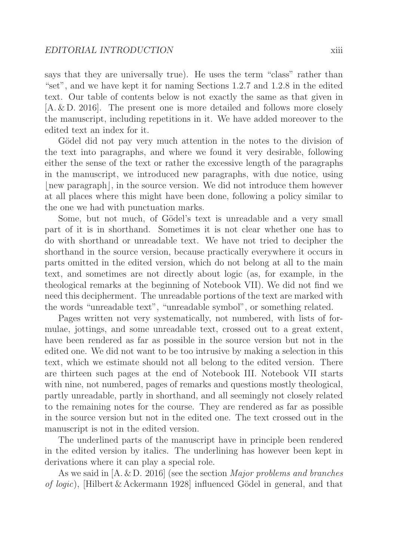says that they are universally true). He uses the term "class" rather than "set", and we have kept it for naming Sections 1.2.7 and 1.2.8 in the edited text. Our table of contents below is not exactly the same as that given in [A. & D. 2016]. The present one is more detailed and follows more closely the manuscript, including repetitions in it. We have added moreover to the edited text an index for it.

Gödel did not pay very much attention in the notes to the division of the text into paragraphs, and where we found it very desirable, following either the sense of the text or rather the excessive length of the paragraphs in the manuscript, we introduced new paragraphs, with due notice, using -new paragraph, in the source version. We did not introduce them however at all places where this might have been done, following a policy similar to the one we had with punctuation marks.

Some, but not much, of Gödel's text is unreadable and a very small part of it is in shorthand. Sometimes it is not clear whether one has to do with shorthand or unreadable text. We have not tried to decipher the shorthand in the source version, because practically everywhere it occurs in parts omitted in the edited version, which do not belong at all to the main text, and sometimes are not directly about logic (as, for example, in the theological remarks at the beginning of Notebook VII). We did not find we need this decipherment. The unreadable portions of the text are marked with the words "unreadable text", "unreadable symbol", or something related.

Pages written not very systematically, not numbered, with lists of formulae, jottings, and some unreadable text, crossed out to a great extent, have been rendered as far as possible in the source version but not in the edited one. We did not want to be too intrusive by making a selection in this text, which we estimate should not all belong to the edited version. There are thirteen such pages at the end of Notebook III. Notebook VII starts with nine, not numbered, pages of remarks and questions mostly theological, partly unreadable, partly in shorthand, and all seemingly not closely related to the remaining notes for the course. They are rendered as far as possible in the source version but not in the edited one. The text crossed out in the manuscript is not in the edited version.

The underlined parts of the manuscript have in principle been rendered in the edited version by italics. The underlining has however been kept in derivations where it can play a special role.

As we said in [A. & D. 2016] (see the section Major problems and branches of logic), [Hilbert & Ackermann 1928] influenced Gödel in general, and that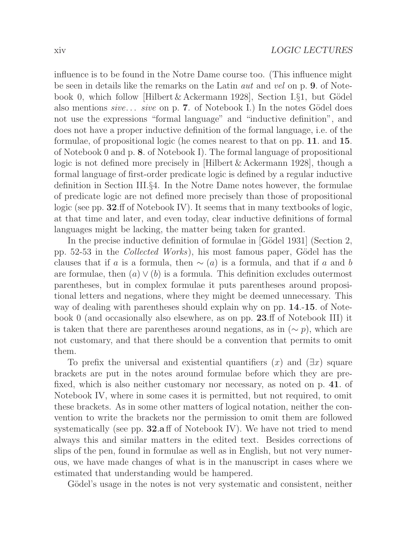influence is to be found in the Notre Dame course too. (This influence might be seen in details like the remarks on the Latin aut and vel on p. **9**. of Notebook 0, which follow [Hilbert & Ackermann 1928], Section I. $\S1$ , but Gödel also mentions sive... sive on p. **7**. of Notebook I.) In the notes Gödel does not use the expressions "formal language" and "inductive definition", and does not have a proper inductive definition of the formal language, i.e. of the formulae, of propositional logic (he comes nearest to that on pp. **11**. and **15**. of Notebook 0 and p. **8**. of Notebook I). The formal language of propositional logic is not defined more precisely in [Hilbert & Ackermann 1928], though a formal language of first-order predicate logic is defined by a regular inductive definition in Section III.§4. In the Notre Dame notes however, the formulae of predicate logic are not defined more precisely than those of propositional logic (see pp. **32**.ff of Notebook IV). It seems that in many textbooks of logic, at that time and later, and even today, clear inductive definitions of formal languages might be lacking, the matter being taken for granted.

In the precise inductive definition of formulae in [Gödel 1931] (Section 2, pp.  $52-53$  in the *Collected Works*), his most famous paper, Gödel has the clauses that if a is a formula, then  $\sim$  (a) is a formula, and that if a and b are formulae, then  $(a) \vee (b)$  is a formula. This definition excludes outermost parentheses, but in complex formulae it puts parentheses around propositional letters and negations, where they might be deemed unnecessary. This way of dealing with parentheses should explain why on pp. **14**.-**15**. of Notebook 0 (and occasionally also elsewhere, as on pp. **23**.ff of Notebook III) it is taken that there are parentheses around negations, as in  $(∼ p)$ , which are not customary, and that there should be a convention that permits to omit them.

To prefix the universal and existential quantifiers  $(x)$  and  $(\exists x)$  square brackets are put in the notes around formulae before which they are prefixed, which is also neither customary nor necessary, as noted on p. **41**. of Notebook IV, where in some cases it is permitted, but not required, to omit these brackets. As in some other matters of logical notation, neither the convention to write the brackets nor the permission to omit them are followed systematically (see pp. **32**.**a** ff of Notebook IV). We have not tried to mend always this and similar matters in the edited text. Besides corrections of slips of the pen, found in formulae as well as in English, but not very numerous, we have made changes of what is in the manuscript in cases where we estimated that understanding would be hampered.

Gödel's usage in the notes is not very systematic and consistent, neither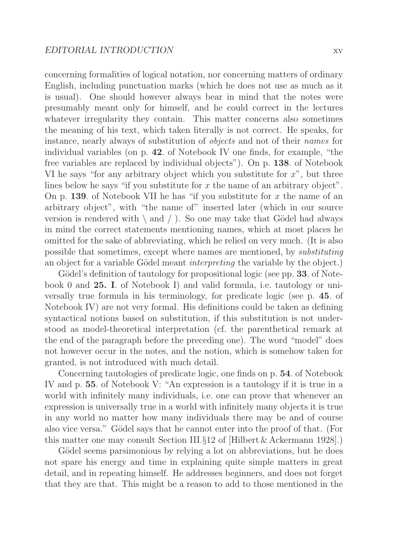concerning formalities of logical notation, nor concerning matters of ordinary English, including punctuation marks (which he does not use as much as it is usual). One should however always bear in mind that the notes were presumably meant only for himself, and he could correct in the lectures whatever irregularity they contain. This matter concerns also sometimes the meaning of his text, which taken literally is not correct. He speaks, for instance, nearly always of substitution of objects and not of their names for individual variables (on p. **42**. of Notebook IV one finds, for example, "the free variables are replaced by individual objects"). On p. **138**. of Notebook VI he says "for any arbitrary object which you substitute for  $x$ ", but three lines below he says "if you substitute for  $x$  the name of an arbitrary object". On p. **139**. of Notebook VII he has "if you substitute for x the name of an arbitrary object", with "the name of" inserted later (which in our source version is rendered with  $\langle$  and  $\rangle$ . So one may take that Gödel had always in mind the correct statements mentioning names, which at most places he omitted for the sake of abbreviating, which he relied on very much. (It is also possible that sometimes, except where names are mentioned, by substituting an object for a variable Gödel meant *interpreting* the variable by the object.)

Gödel's definition of tautology for propositional logic (see pp. **33**. of Notebook 0 and **25. I**. of Notebook I) and valid formula, i.e. tautology or universally true formula in his terminology, for predicate logic (see p. **45**. of Notebook IV) are not very formal. His definitions could be taken as defining syntactical notions based on substitution, if this substitution is not understood as model-theoretical interpretation (cf. the parenthetical remark at the end of the paragraph before the preceding one). The word "model" does not however occur in the notes, and the notion, which is somehow taken for granted, is not introduced with much detail.

Concerning tautologies of predicate logic, one finds on p. **54**. of Notebook IV and p. **55**. of Notebook V: "An expression is a tautology if it is true in a world with infinitely many individuals, i.e. one can prove that whenever an expression is universally true in a world with infinitely many objects it is true in any world no matter how many individuals there may be and of course also vice versa." Gödel says that he cannot enter into the proof of that. (For this matter one may consult Section III.§12 of [Hilbert & Ackermann 1928].)

Gödel seems parsimonious by relying a lot on abbreviations, but he does not spare his energy and time in explaining quite simple matters in great detail, and in repeating himself. He addresses beginners, and does not forget that they are that. This might be a reason to add to those mentioned in the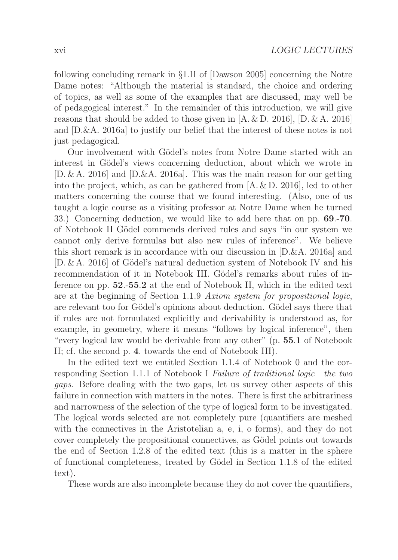following concluding remark in §1.II of [Dawson 2005] concerning the Notre Dame notes: "Although the material is standard, the choice and ordering of topics, as well as some of the examples that are discussed, may well be of pedagogical interest." In the remainder of this introduction, we will give reasons that should be added to those given in  $[A, \& D, 2016]$ ,  $[D, \& A, 2016]$ and [D.&A. 2016a] to justify our belief that the interest of these notes is not just pedagogical.

Our involvement with Gödel's notes from Notre Dame started with an interest in Gödel's views concerning deduction, about which we wrote in  $[D. \& A. 2016]$  and  $[D. \& A. 2016a]$ . This was the main reason for our getting into the project, which, as can be gathered from  $[A, \& D, 2016]$ , led to other matters concerning the course that we found interesting. (Also, one of us taught a logic course as a visiting professor at Notre Dame when he turned 33.) Concerning deduction, we would like to add here that on pp. **69**.-**70**. of Notebook II Gödel commends derived rules and says "in our system we cannot only derive formulas but also new rules of inference". We believe this short remark is in accordance with our discussion in [D.&A. 2016a] and  $[D, \& A, 2016]$  of Gödel's natural deduction system of Notebook IV and his recommendation of it in Notebook III. Gödel's remarks about rules of inference on pp. **52**.-**55**.**2** at the end of Notebook II, which in the edited text are at the beginning of Section 1.1.9 Axiom system for propositional logic, are relevant too for Gödel's opinions about deduction. Gödel says there that if rules are not formulated explicitly and derivability is understood as, for example, in geometry, where it means "follows by logical inference", then "every logical law would be derivable from any other" (p. **55**.**1** of Notebook II; cf. the second p. **4**. towards the end of Notebook III).

In the edited text we entitled Section 1.1.4 of Notebook 0 and the corresponding Section 1.1.1 of Notebook I Failure of traditional logic—the two gaps. Before dealing with the two gaps, let us survey other aspects of this failure in connection with matters in the notes. There is first the arbitrariness and narrowness of the selection of the type of logical form to be investigated. The logical words selected are not completely pure (quantifiers are meshed with the connectives in the Aristotelian a, e, i, o forms), and they do not cover completely the propositional connectives, as Gödel points out towards the end of Section 1.2.8 of the edited text (this is a matter in the sphere of functional completeness, treated by G¨odel in Section 1.1.8 of the edited text).

These words are also incomplete because they do not cover the quantifiers,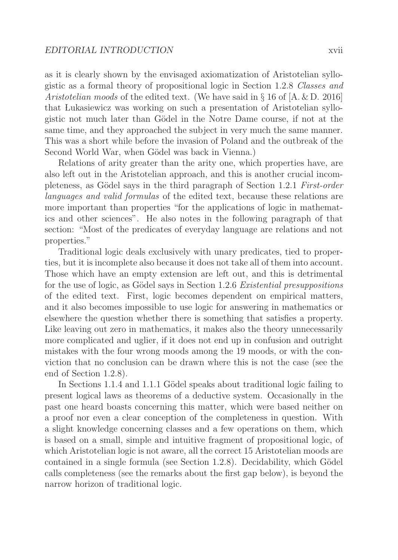as it is clearly shown by the envisaged axiomatization of Aristotelian syllogistic as a formal theory of propositional logic in Section 1.2.8 Classes and Aristotelian moods of the edited text. (We have said in  $\S 16$  of  $[A, \& D, 2016]$ that Lukasiewicz was working on such a presentation of Aristotelian syllogistic not much later than G¨odel in the Notre Dame course, if not at the same time, and they approached the subject in very much the same manner. This was a short while before the invasion of Poland and the outbreak of the Second World War, when Gödel was back in Vienna.)

Relations of arity greater than the arity one, which properties have, are also left out in the Aristotelian approach, and this is another crucial incompleteness, as Gödel says in the third paragraph of Section 1.2.1 First-order languages and valid formulas of the edited text, because these relations are more important than properties "for the applications of logic in mathematics and other sciences". He also notes in the following paragraph of that section: "Most of the predicates of everyday language are relations and not properties."

Traditional logic deals exclusively with unary predicates, tied to properties, but it is incomplete also because it does not take all of them into account. Those which have an empty extension are left out, and this is detrimental for the use of logic, as Gödel says in Section 1.2.6 Existential presuppositions of the edited text. First, logic becomes dependent on empirical matters, and it also becomes impossible to use logic for answering in mathematics or elsewhere the question whether there is something that satisfies a property. Like leaving out zero in mathematics, it makes also the theory unnecessarily more complicated and uglier, if it does not end up in confusion and outright mistakes with the four wrong moods among the 19 moods, or with the conviction that no conclusion can be drawn where this is not the case (see the end of Section 1.2.8).

In Sections 1.1.4 and 1.1.1 Gödel speaks about traditional logic failing to present logical laws as theorems of a deductive system. Occasionally in the past one heard boasts concerning this matter, which were based neither on a proof nor even a clear conception of the completeness in question. With a slight knowledge concerning classes and a few operations on them, which is based on a small, simple and intuitive fragment of propositional logic, of which Aristotelian logic is not aware, all the correct 15 Aristotelian moods are contained in a single formula (see Section  $1.2.8$ ). Decidability, which Gödel calls completeness (see the remarks about the first gap below), is beyond the narrow horizon of traditional logic.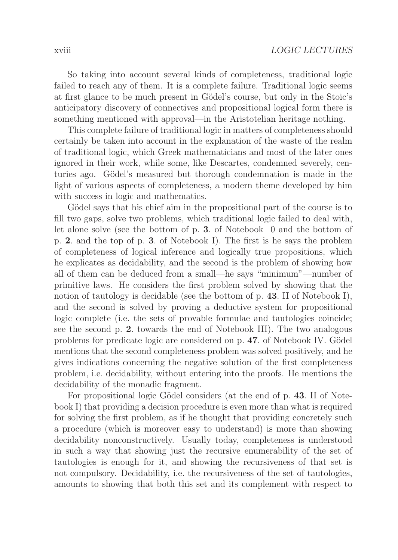So taking into account several kinds of completeness, traditional logic failed to reach any of them. It is a complete failure. Traditional logic seems at first glance to be much present in Gödel's course, but only in the Stoic's anticipatory discovery of connectives and propositional logical form there is something mentioned with approval—in the Aristotelian heritage nothing.

This complete failure of traditional logic in matters of completeness should certainly be taken into account in the explanation of the waste of the realm of traditional logic, which Greek mathematicians and most of the later ones ignored in their work, while some, like Descartes, condemned severely, centuries ago. Gödel's measured but thorough condemnation is made in the light of various aspects of completeness, a modern theme developed by him with success in logic and mathematics.

Gödel says that his chief aim in the propositional part of the course is to fill two gaps, solve two problems, which traditional logic failed to deal with, let alone solve (see the bottom of p. **3**. of Notebook 0 and the bottom of p. **2**. and the top of p. **3**. of Notebook I). The first is he says the problem of completeness of logical inference and logically true propositions, which he explicates as decidability, and the second is the problem of showing how all of them can be deduced from a small—he says "minimum"—number of primitive laws. He considers the first problem solved by showing that the notion of tautology is decidable (see the bottom of p. **43**. II of Notebook I), and the second is solved by proving a deductive system for propositional logic complete (i.e. the sets of provable formulae and tautologies coincide; see the second p. **2**. towards the end of Notebook III). The two analogous problems for predicate logic are considered on p. 47. of Notebook IV. Gödel mentions that the second completeness problem was solved positively, and he gives indications concerning the negative solution of the first completeness problem, i.e. decidability, without entering into the proofs. He mentions the decidability of the monadic fragment.

For propositional logic Gödel considers (at the end of p. 43. II of Notebook I) that providing a decision procedure is even more than what is required for solving the first problem, as if he thought that providing concretely such a procedure (which is moreover easy to understand) is more than showing decidability nonconstructively. Usually today, completeness is understood in such a way that showing just the recursive enumerability of the set of tautologies is enough for it, and showing the recursiveness of that set is not compulsory. Decidability, i.e. the recursiveness of the set of tautologies, amounts to showing that both this set and its complement with respect to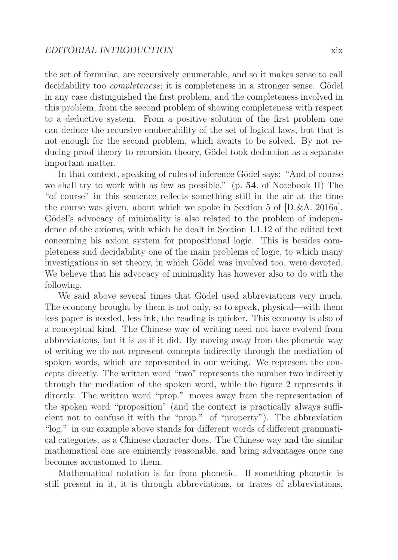the set of formulae, are recursively enumerable, and so it makes sense to call decidability too *completeness*; it is completeness in a stronger sense. Gödel in any case distinguished the first problem, and the completeness involved in this problem, from the second problem of showing completeness with respect to a deductive system. From a positive solution of the first problem one can deduce the recursive enuberability of the set of logical laws, but that is not enough for the second problem, which awaits to be solved. By not reducing proof theory to recursion theory, Gödel took deduction as a separate important matter.

In that context, speaking of rules of inference Gödel says: "And of course we shall try to work with as few as possible." (p. **54**. of Notebook II) The "of course" in this sentence reflects something still in the air at the time the course was given, about which we spoke in Section 5 of [D.&A. 2016a]. Gödel's advocacy of minimality is also related to the problem of independence of the axioms, with which he dealt in Section 1.1.12 of the edited text concerning his axiom system for propositional logic. This is besides completeness and decidability one of the main problems of logic, to which many investigations in set theory, in which Gödel was involved too, were devoted. We believe that his advocacy of minimality has however also to do with the following.

We said above several times that Gödel used abbreviations very much. The economy brought by them is not only, so to speak, physical—with them less paper is needed, less ink, the reading is quicker. This economy is also of a conceptual kind. The Chinese way of writing need not have evolved from abbreviations, but it is as if it did. By moving away from the phonetic way of writing we do not represent concepts indirectly through the mediation of spoken words, which are represented in our writing. We represent the concepts directly. The written word "two" represents the number two indirectly through the mediation of the spoken word, while the figure 2 represents it directly. The written word "prop." moves away from the representation of the spoken word "proposition" (and the context is practically always sufficient not to confuse it with the "prop." of "property"). The abbreviation "log." in our example above stands for different words of different grammatical categories, as a Chinese character does. The Chinese way and the similar mathematical one are eminently reasonable, and bring advantages once one becomes accustomed to them.

Mathematical notation is far from phonetic. If something phonetic is still present in it, it is through abbreviations, or traces of abbreviations,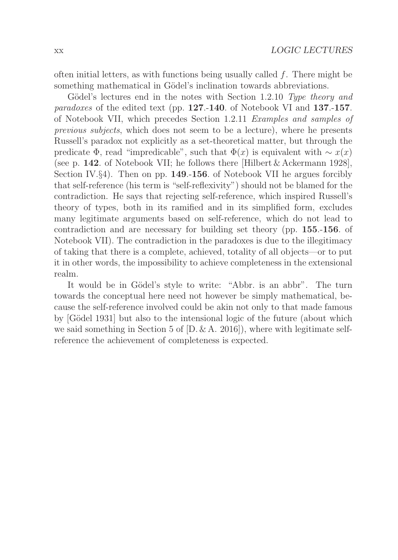often initial letters, as with functions being usually called  $f$ . There might be something mathematical in Gödel's inclination towards abbreviations.

Gödel's lectures end in the notes with Section 1.2.10 Type theory and paradoxes of the edited text (pp. **127**.-**140**. of Notebook VI and **137**.-**157**. of Notebook VII, which precedes Section 1.2.11 Examples and samples of previous subjects, which does not seem to be a lecture), where he presents Russell's paradox not explicitly as a set-theoretical matter, but through the predicate  $\Phi$ , read "impredicable", such that  $\Phi(x)$  is equivalent with  $\sim x(x)$ (see p. **142**. of Notebook VII; he follows there [Hilbert & Ackermann 1928], Section IV.§4). Then on pp. **149**.-**156**. of Notebook VII he argues forcibly that self-reference (his term is "self-reflexivity") should not be blamed for the contradiction. He says that rejecting self-reference, which inspired Russell's theory of types, both in its ramified and in its simplified form, excludes many legitimate arguments based on self-reference, which do not lead to contradiction and are necessary for building set theory (pp. **155**.-**156**. of Notebook VII). The contradiction in the paradoxes is due to the illegitimacy of taking that there is a complete, achieved, totality of all objects—or to put it in other words, the impossibility to achieve completeness in the extensional realm.

It would be in Gödel's style to write: "Abbr. is an abbr". The turn towards the conceptual here need not however be simply mathematical, because the self-reference involved could be akin not only to that made famous by [G¨odel 1931] but also to the intensional logic of the future (about which we said something in Section 5 of  $[D, \& A, 2016]$ , where with legitimate selfreference the achievement of completeness is expected.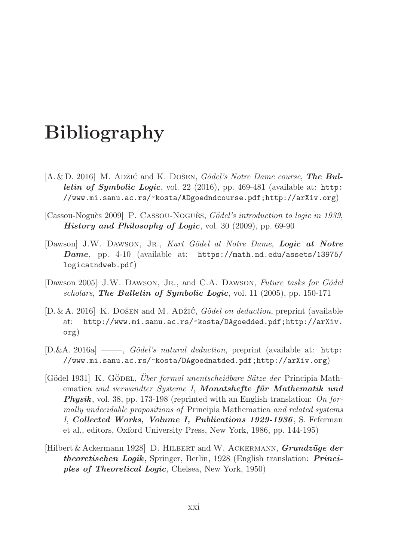## **Bibliography**

- [A. & D. 2016] M. Adžić and K. Došen, *Gödel's Notre Dame course*, **The Bul***letin of Symbolic Logic*, vol. 22 (2016), pp. 469-481 (available at: http: //www.mi.sanu.ac.rs/~kosta/ADgoedndcourse.pdf;http://arXiv.org)
- [Cassou-Noguès 2009] P. CASSOU-NOGUÈS, Gödel's introduction to logic in 1939, *History and Philosophy of Logic*, vol. 30 (2009), pp. 69-90
- [Dawson] J.W. Dawson, Jr., Kurt G¨odel at Notre Dame, *Logic at Notre Dame*, pp. 4-10 (available at: https://math.nd.edu/assets/13975/ logicatndweb.pdf)
- [Dawson 2005] J.W. DAWSON, JR., and C.A. DAWSON, Future tasks for Gödel scholars, *The Bulletin of Symbolic Logic*, vol. 11 (2005), pp. 150-171
- [D. & A. 2016] K. Došen and M. Adžić, Gödel on deduction, preprint (available at: http://www.mi.sanu.ac.rs/~kosta/DAgoedded.pdf;http://arXiv. org)
- $[D.\&A. 2016a] \longrightarrow$ ,  $Gödel's natural deduction$ , preprint (available at: http: //www.mi.sanu.ac.rs/~kosta/DAgoednatded.pdf;http://arXiv.org)
- [Gödel 1931] K. GÖDEL, Über formal unentscheidbare Sätze der Principia Mathematica und verwandter Systeme I, **Monatshefte für Mathematik und Physik**, vol. 38, pp. 173-198 (reprinted with an English translation: On formally undecidable propositions of Principia Mathematica and related systems I, *Collected Works, Volume I, Publications 1929-1936*, S. Feferman et al., editors, Oxford University Press, New York, 1986, pp. 144-195)
- [Hilbert & Ackermann 1928] D. HILBERT and W. ACKERMANN, *Grundzüge der theoretischen Logik*, Springer, Berlin, 1928 (English translation: *Principles of Theoretical Logic*, Chelsea, New York, 1950)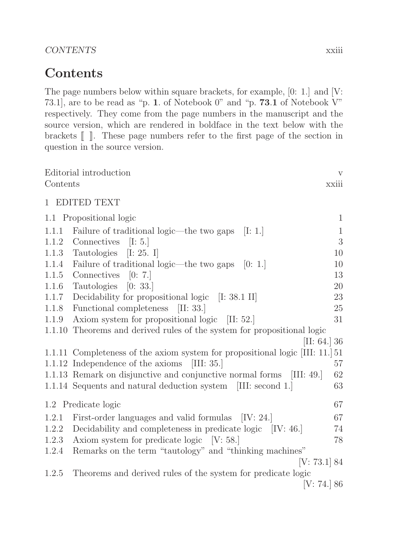CONTENTS xxiii

#### **Contents**

The page numbers below within square brackets, for example, [0: 1.] and [V: 73.1], are to be read as "p. **1**. of Notebook 0" and "p. **73**.**1** of Notebook V" respectively. They come from the page numbers in the manuscript and the source version, which are rendered in boldface in the text below with the brackets  $\llbracket \; \; \rrbracket$ . These page numbers refer to the first page of the section in question in the source version.

| Contents                  | Editorial introduction                                                        | V<br>xxiii   |  |  |
|---------------------------|-------------------------------------------------------------------------------|--------------|--|--|
|                           | 1 EDITED TEXT                                                                 |              |  |  |
|                           | 1.1 Propositional logic                                                       | $\mathbf{1}$ |  |  |
| 1.1.1                     | Failure of traditional logic—the two gaps [I: 1.]                             | $\mathbf{1}$ |  |  |
| 1.1.2                     | Connectives<br>[I: 5.]                                                        | 3            |  |  |
|                           | 1.1.3 Tautologies<br>[I: 25. I]                                               | 10           |  |  |
| 1.1.4                     | Failure of traditional logic—the two gaps<br>[0: 1.]                          | 10           |  |  |
| 1.1.5                     | Connectives $[0: 7.]$                                                         | 13           |  |  |
| 1.1.6                     | Tautologies<br>[0: 33.]                                                       | 20           |  |  |
| 1.1.7                     | Decidability for propositional logic [I: 38.1 II]                             | $23\,$       |  |  |
| 1.1.8                     | Functional completeness<br>[II: 33.]                                          | 25           |  |  |
| 1.1.9                     | Axiom system for propositional logic [II: 52.]                                | 31           |  |  |
| 1.1.10                    | Theorems and derived rules of the system for propositional logic              |              |  |  |
|                           | [II: 64.] 36                                                                  |              |  |  |
|                           | 1.1.11 Completeness of the axiom system for propositional logic [III: 11.] 51 |              |  |  |
|                           | 1.1.12 Independence of the axioms [III: 35.]                                  | 57           |  |  |
|                           | 1.1.13 Remark on disjunctive and conjunctive normal forms [III: 49.]          | 62           |  |  |
|                           | 1.1.14 Sequents and natural deduction system [III: second 1.]                 | 63           |  |  |
| 67<br>1.2 Predicate logic |                                                                               |              |  |  |
| 1.2.1                     | First-order languages and valid formulas [IV: 24.]                            | 67           |  |  |
| 1.2.2                     | Decidability and completeness in predicate logic [IV: 46.]                    | 74           |  |  |
| 1.2.3                     | Axiom system for predicate logic $[V: 58.]$                                   | 78           |  |  |
| 1.2.4                     | Remarks on the term "tautology" and "thinking machines"                       |              |  |  |
| [V: 73.1] 84              |                                                                               |              |  |  |
| 1.2.5                     | Theorems and derived rules of the system for predicate logic<br>[V: 74.] 86   |              |  |  |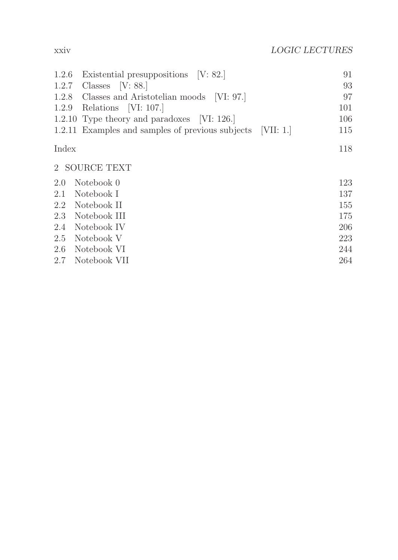| 1.2.6 | Existential presuppositions [V: 82.]                       | 91  |
|-------|------------------------------------------------------------|-----|
| 1.2.7 | Classes $[V: 88.]$                                         | 93  |
| 1.2.8 | Classes and Aristotelian moods [VI: 97.]                   | 97  |
| 1.2.9 | Relations [VI: 107.]                                       | 101 |
|       | 1.2.10 Type theory and paradoxes [VI: 126.]                | 106 |
|       | 1.2.11 Examples and samples of previous subjects [VII: 1.] | 115 |
| Index |                                                            | 118 |
|       | 2 SOURCE TEXT                                              |     |
| 2.0   | Notebook 0                                                 | 123 |
| 2.1   | Notebook I                                                 | 137 |
| 2.2   | Notebook II                                                | 155 |
| 2.3   | Notebook III                                               | 175 |
| 2.4   | Notebook IV                                                | 206 |
| 2.5   | Notebook V                                                 | 223 |
| 2.6   | Notebook VI                                                | 244 |
| 2.7   | Notebook VII                                               | 264 |
|       |                                                            |     |